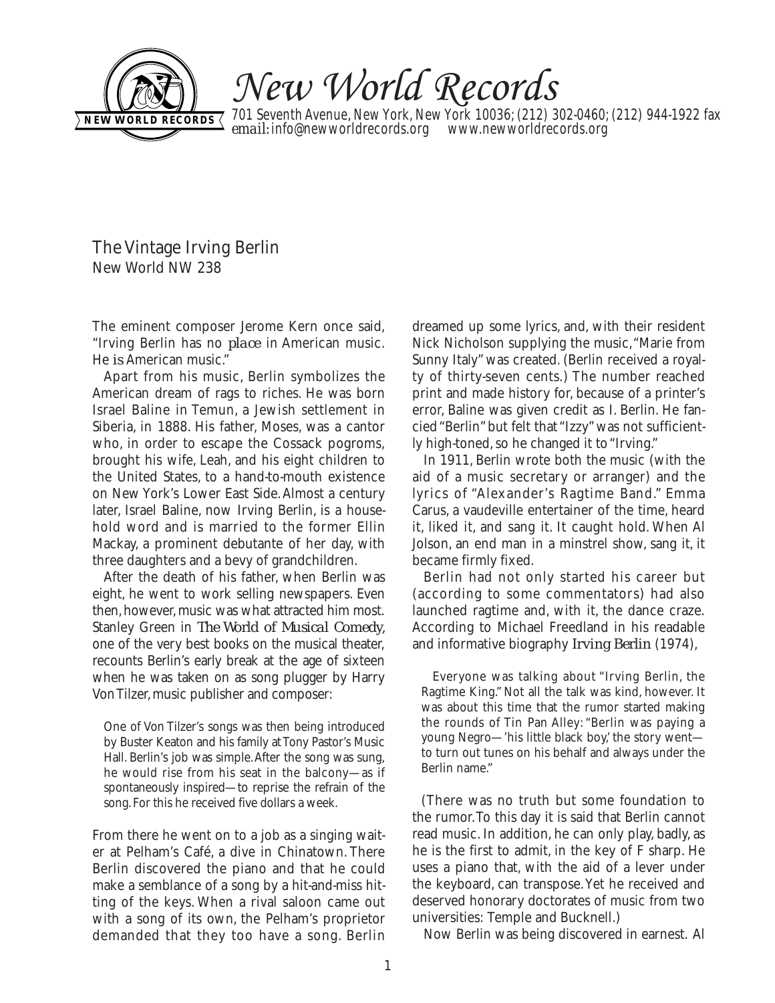

New World Records

701 Seventh Avenue, New York, New York 10036; (212) 302-0460; (212) 944-1922 fax **email:** info@newworldrecords.org www.newworldrecords.org **NEW WORLD RECORDS** 

The Vintage Irving Berlin New World NW 238

The eminent composer Jerome Kern once said, "Irving Berlin has no *place* in American music. He *is* American music."

Apart from his music, Berlin symbolizes the American dream of rags to riches. He was born Israel Baline in Temun, a Jewish settlement in Siberia, in 1888. His father, Moses, was a cantor who, in order to escape the Cossack pogroms, brought his wife, Leah, and his eight children to the United States, to a hand-to-mouth existence on New York's Lower East Side.Almost a century later, Israel Baline, now Irving Berlin, is a household word and is married to the former Ellin Mackay, a prominent debutante of her day, with three daughters and a bevy of grandchildren.

After the death of his father, when Berlin was eight, he went to work selling newspapers. Even then, however, music was what attracted him most. Stanley Green in *The World of Musical Comedy,* one of the very best books on the musical theater, recounts Berlin's early break at the age of sixteen when he was taken on as song plugger by Harry Von Tilzer, music publisher and composer:

One of Von Tilzer's songs was then being introduced by Buster Keaton and his family at Tony Pastor's Music Hall. Berlin's job was simple.After the song was sung, he would rise from his seat in the balcony—as if spontaneously inspired—to reprise the refrain of the song.For this he received five dollars a week.

From there he went on to a job as a singing waiter at Pelham's Café, a dive in Chinatown. There Berlin discovered the piano and that he could make a semblance of a song by a hit-and-miss hitting of the keys. When a rival saloon came out with a song of its own, the Pelham's proprietor demanded that they too have a song. Berlin

dreamed up some lyrics, and, with their resident Nick Nicholson supplying the music,"Marie from Sunny Italy" was created. (Berlin received a royalty of thirty-seven cents.) The number reached print and made history for, because of a printer's error, Baline was given credit as I. Berlin. He fancied "Berlin" but felt that "Izzy" was not sufficiently high-toned, so he changed it to "Irving."

In 1911, Berlin wrote both the music (with the aid of a music secretary or arranger) and the lyrics of "Alexander's Ragtime Band." Emma Carus, a vaudeville entertainer of the time, heard it, liked it, and sang it. It caught hold. When Al Jolson, an end man in a minstrel show, sang it, it became firmly fixed.

Berlin had not only started his career but (according to some commentators) had also launched ragtime and, with it, the dance craze. According to Michael Freedland in his readable and informative biography *Irving Berlin* (1974),

Everyone was talking about "Irving Berlin, the Ragtime King." Not all the talk was kind, however. It was about this time that the rumor started making the rounds of Tin Pan Alley: "Berlin was paying a young Negro—'his little black boy,' the story went to turn out tunes on his behalf and always under the Berlin name."

(There was no truth but some foundation to the rumor.To this day it is said that Berlin cannot read music. In addition, he can only play, badly, as he is the first to admit, in the key of F sharp. He uses a piano that, with the aid of a lever under the keyboard, can transpose.Yet he received and deserved honorary doctorates of music from two universities: Temple and Bucknell.)

Now Berlin was being discovered in earnest. Al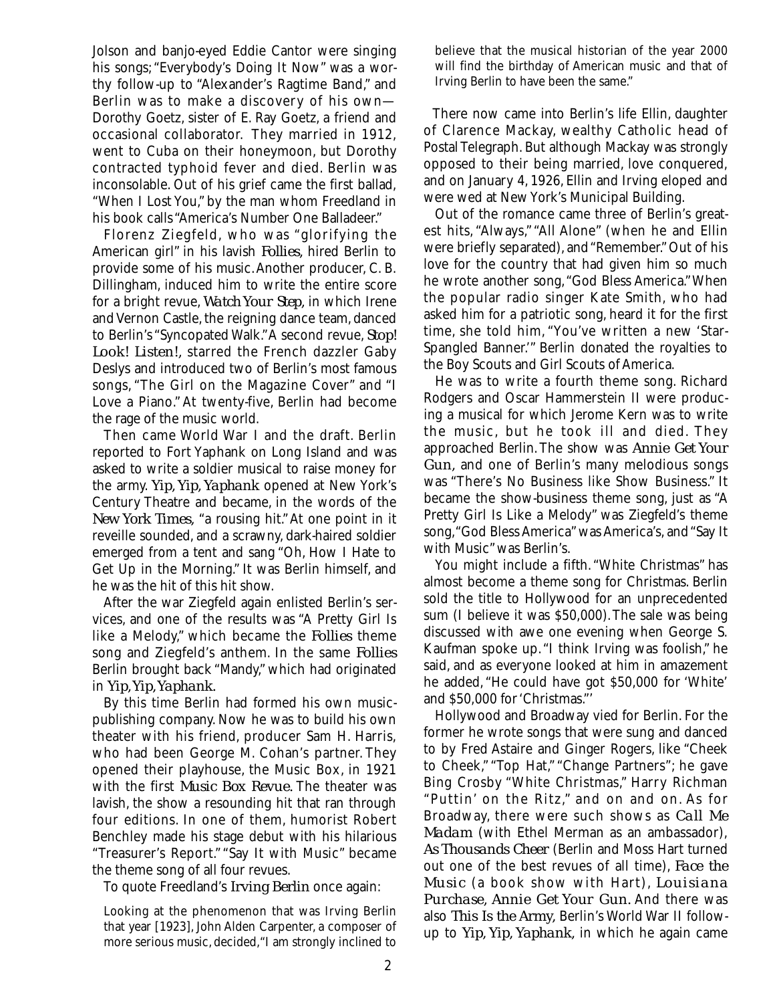Jolson and banjo-eyed Eddie Cantor were singing his songs; "Everybody's Doing It Now" was a worthy follow-up to "Alexander's Ragtime Band," and Berlin was to make a discovery of his own— Dorothy Goetz, sister of E. Ray Goetz, a friend and occasional collaborator. They married in 1912, went to Cuba on their honeymoon, but Dorothy contracted typhoid fever and died. Berlin was inconsolable. Out of his grief came the first ballad, "When I Lost You," by the man whom Freedland in his book calls "America's Number One Balladeer."

Florenz Ziegfeld, who was "glorifying the American girl" in his lavish *Follies,* hired Berlin to provide some of his music.Another producer, C. B. Dillingham, induced him to write the entire score for a bright revue, *Watch Your Step,* in which Irene and Vernon Castle, the reigning dance team, danced to Berlin's "Syncopated Walk."A second revue, *Stop! Look! Listen!,* starred the French dazzler Gaby Deslys and introduced two of Berlin's most famous songs, "The Girl on the Magazine Cover" and "I Love a Piano." At twenty-five, Berlin had become the rage of the music world.

Then came World War I and the draft. Berlin reported to Fort Yaphank on Long Island and was asked to write a soldier musical to raise money for the army. *Yip, Yip, Yaphank* opened at New York's Century Theatre and became, in the words of the *New York Times,* "a rousing hit."At one point in it reveille sounded, and a scrawny, dark-haired soldier emerged from a tent and sang "Oh, How I Hate to Get Up in the Morning." It was Berlin himself, and he was the hit of this hit show.

After the war Ziegfeld again enlisted Berlin's services, and one of the results was "A Pretty Girl Is like a Melody," which became the *Follies* theme song and Ziegfeld's anthem. In the same *Follies* Berlin brought back "Mandy," which had originated in *Yip, Yip, Yaphank.* 

By this time Berlin had formed his own musicpublishing company. Now he was to build his own theater with his friend, producer Sam H. Harris, who had been George M. Cohan's partner. They opened their playhouse, the Music Box, in 1921 with the first *Music Box Revue.* The theater was lavish, the show a resounding hit that ran through four editions. In one of them, humorist Robert Benchley made his stage debut with his hilarious "Treasurer's Report." "Say It with Music" became the theme song of all four revues.

To quote Freedland's *Irving Berlin* once again:

Looking at the phenomenon that was Irving Berlin that year [1923], John Alden Carpenter, a composer of more serious music, decided,"I am strongly inclined to believe that the musical historian of the year 2000 will find the birthday of American music and that of Irving Berlin to have been the same."

There now came into Berlin's life Ellin, daughter of Clarence Mackay, wealthy Catholic head of Postal Telegraph. But although Mackay was strongly opposed to their being married, love conquered, and on January 4, 1926, Ellin and Irving eloped and were wed at New York's Municipal Building.

Out of the romance came three of Berlin's greatest hits, "Always," "All Alone" (when he and Ellin were briefly separated), and "Remember."Out of his love for the country that had given him so much he wrote another song,"God Bless America."When the popular radio singer Kate Smith, who had asked him for a patriotic song, heard it for the first time, she told him, "You've written a new 'Star-Spangled Banner.'" Berlin donated the royalties to the Boy Scouts and Girl Scouts of America.

He was to write a fourth theme song. Richard Rodgers and Oscar Hammerstein II were producing a musical for which Jerome Kern was to write the music, but he took ill and died. They approached Berlin.The show was *Annie Get Your Gun,* and one of Berlin's many melodious songs was "There's No Business like Show Business." It became the show-business theme song, just as "A Pretty Girl Is Like a Melody" was Ziegfeld's theme song,"God Bless America"was America's, and "Say It with Music"was Berlin's.

You might include a fifth. "White Christmas" has almost become a theme song for Christmas. Berlin sold the title to Hollywood for an unprecedented sum (I believe it was \$50,000).The sale was being discussed with awe one evening when George S. Kaufman spoke up. "I think Irving was foolish," he said, and as everyone looked at him in amazement he added, "He could have got \$50,000 for 'White' and \$50,000 for 'Christmas."'

Hollywood and Broadway vied for Berlin. For the former he wrote songs that were sung and danced to by Fred Astaire and Ginger Rogers, like "Cheek to Cheek," "Top Hat," "Change Partners"; he gave Bing Crosby "White Christmas," Harry Richman "Puttin' on the Ritz," and on and on. As for Broadway, there were such shows as *Call Me Madam* (with Ethel Merman as an ambassador), *As Thousands Cheer* (Berlin and Moss Hart turned out one of the best revues of all time), *Face the Music* (a book show with Hart), *Louisiana Purchase, Annie Get Your Gun.* And there was also *This Is the Army,* Berlin's World War II followup to *Yip, Yip, Yaphank,* in which he again came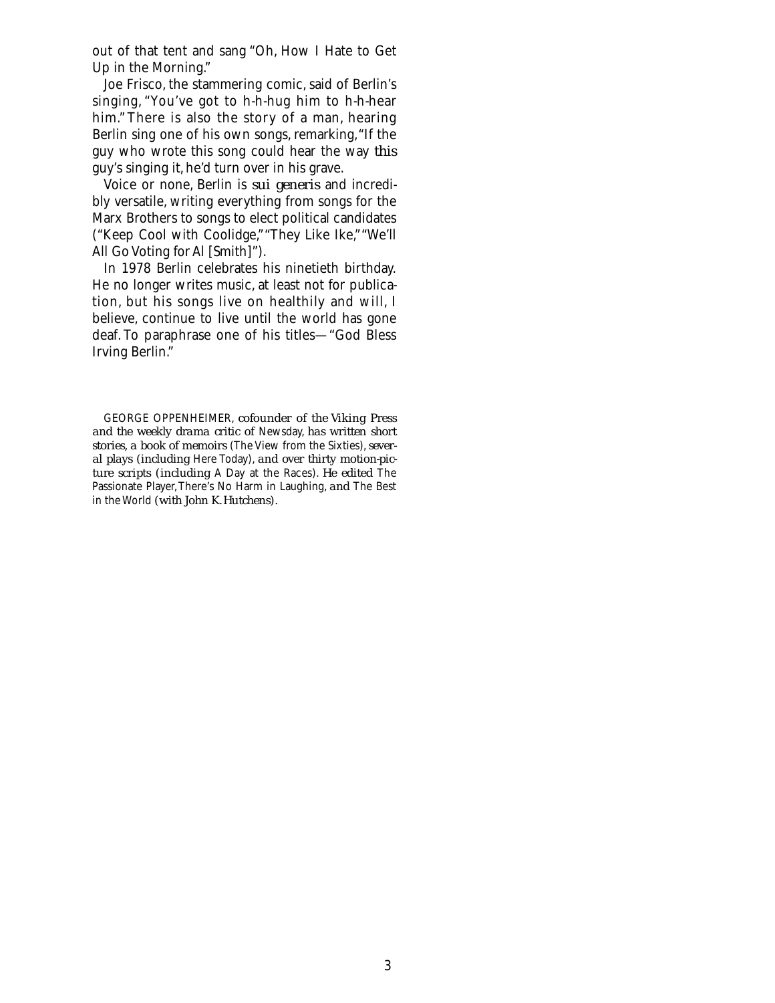out of that tent and sang "Oh, How I Hate to Get Up in the Morning."

Joe Frisco, the stammering comic, said of Berlin's singing, "You've got to h-h-hug him to h-h-hear him." There is also the story of a man, hearing Berlin sing one of his own songs, remarking, "If the guy who wrote this song could hear the way *this* guy's singing it, he'd turn over in his grave.

Voice or none, Berlin is *sui generis* and incredibly versatile, writing everything from songs for the Marx Brothers to songs to elect political candidates ("Keep Cool with Coolidge,""They Like Ike,""We'll All Go Voting for Al [Smith]").

In 1978 Berlin celebrates his ninetieth birthday. He no longer writes music, at least not for publication, but his songs live on healthily and will, I believe, continue to live until the world has gone deaf. To paraphrase one of his titles—"God Bless Irving Berlin."

GEORGE OPPENHEIMER, *cofounder of the Viking Press and the weekly drama critic of* Newsday, *has written short stories, a book of memoirs* (The View from the Sixties),*several plays (including* Here Today), *and over thirty motion-picture scripts (including* A Day at the Races). *He edited* The Passionate Player,There's No Harm in Laughing, *and* The Best in the World *(with John K.Hutchens).*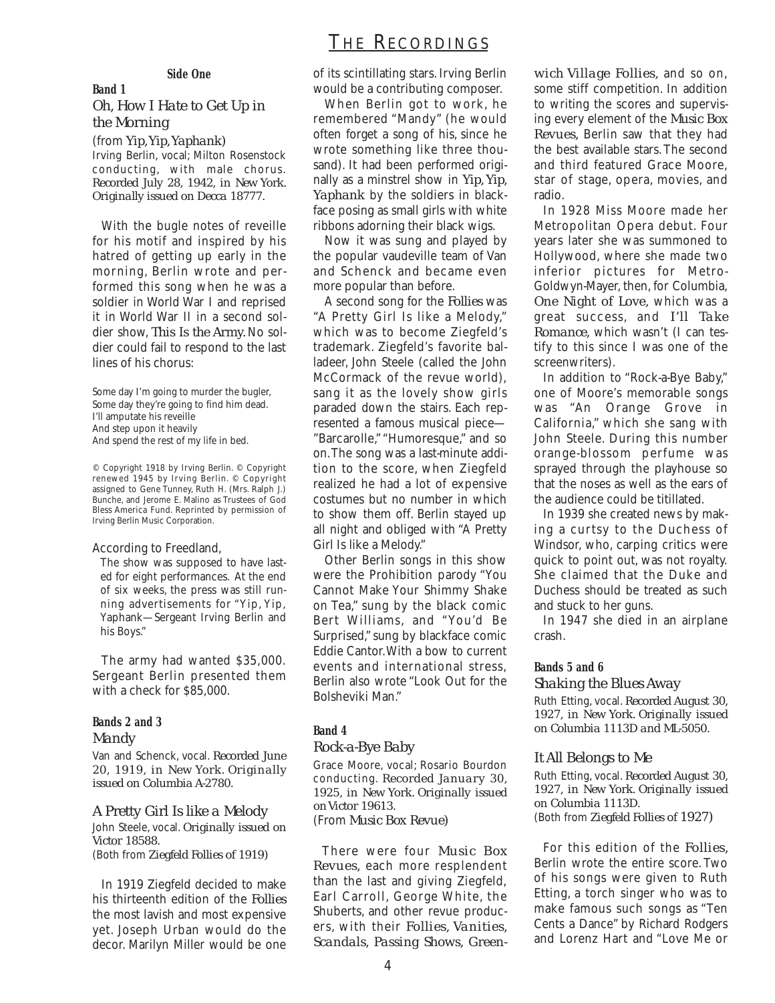# THE RECORDINGS

#### **Side One**

## *Oh, How I Hate to Get Up in the Morning*

**Band 1**

(from *Yip*, *Yip*, *Yaphank*) Irving Berlin, vocal; Milton Rosenstock conducting, with male chorus. *Recorded July 28, 1942, in New York. Originally issued on Decca 18777.*

With the bugle notes of reveille for his motif and inspired by his hatred of getting up early in the morning, Berlin wrote and performed this song when he was a soldier in World War I and reprised it in World War II in a second soldier show, *This Is the Army.* No soldier could fail to respond to the last lines of his chorus:

Some day I'm going to murder the bugler, Some day they're going to find him dead. I'll amputate his reveille And step upon it heavily And spend the rest of my life in bed.

© Copyright 1918 by Irving Berlin. © Copyright renewed 1945 by Irving Berlin. © Copyright assigned to Gene Tunney, Ruth H. (Mrs. Ralph J.) Bunche, and Jerome E. Malino as Trustees of God Bless America Fund. Reprinted by permission of Irving Berlin Music Corporation.

#### According to Freedland,

The show was supposed to have lasted for eight performances. At the end of six weeks, the press was still running advertisements for "Yip, Yip, Yaphank—Sergeant Irving Berlin and his Boys."

The army had wanted \$35,000. Sergeant Berlin presented them with a check for \$85,000.

#### **Bands 2 and 3** *Mandy*

Van and Schenck, vocal. *Recorded June 20, 1919, in New York. Originally issued on Columbia A-2780.*

*A Pretty Girl Is like a Melody*  John Steele, vocal. *Originally issued on Victor 18588.* (Both from *Ziegfeld Follies of 1919)*

In 1919 Ziegfeld decided to make his thirteenth edition of the *Follies* the most lavish and most expensive yet. Joseph Urban would do the decor. Marilyn Miller would be one

of its scintillating stars. Irving Berlin would be a contributing composer.

When Berlin got to work, he remembered "Mandy" (he would often forget a song of his, since he wrote something like three thousand). It had been performed originally as a minstrel show in *Yip, Yip, Yaphank* by the soldiers in blackface posing as small girls with white ribbons adorning their black wigs.

Now it was sung and played by the popular vaudeville team of Van and Schenck and became even more popular than before.

A second song for the *Follies* was "A Pretty Girl Is like a Melody," which was to become Ziegfeld's trademark. Ziegfeld's favorite balladeer, John Steele (called the John McCormack of the revue world), sang it as the lovely show girls paraded down the stairs. Each represented a famous musical piece— "Barcarolle," "Humoresque," and so on.The song was a last-minute addition to the score, when Ziegfeld realized he had a lot of expensive costumes but no number in which to show them off. Berlin stayed up all night and obliged with "A Pretty Girl Is like a Melody."

Other Berlin songs in this show were the Prohibition parody "You Cannot Make Your Shimmy Shake on Tea," sung by the black comic Bert Williams, and "You'd Be Surprised," sung by blackface comic Eddie Cantor.With a bow to current events and international stress, Berlin also wrote "Look Out for the Bolsheviki Man."

## **Band 4**

#### *Rock-a-Bye Baby*

Grace Moore, vocal; Rosario Bourdon conducting. *Recorded January 30, 1925, in New York. Originally issued on Victor 19613.* (From *Music Box Revue)*

There were four *Music Box Revues,* each more resplendent than the last and giving Ziegfeld, Earl Carroll, George White, the Shuberts, and other revue producers, with their *Follies, Vanities, Scandals, Passing Shows, Green-*

*wich Village Follies,* and so on, some stiff competition. In addition to writing the scores and supervising every element of the *Music Box Revues,* Berlin saw that they had the best available stars.The second and third featured Grace Moore, star of stage, opera, movies, and radio.

In 1928 Miss Moore made her Metropolitan Opera debut. Four years later she was summoned to Hollywood, where she made two inferior pictures for Metro-Goldwyn-Mayer, then, for Columbia, *One Night of Love,* which was a great success, and *I'll Take Romance,* which wasn't (I can testify to this since I was one of the screenwriters).

In addition to "Rock-a-Bye Baby," one of Moore's memorable songs was "An Orange Grove in California," which she sang with John Steele. During this number orange-blossom perfume was sprayed through the playhouse so that the noses as well as the ears of the audience could be titillated.

In 1939 she created news by making a curtsy to the Duchess of Windsor, who, carping critics were quick to point out, was not royalty. She claimed that the Duke and Duchess should be treated as such and stuck to her guns.

In 1947 she died in an airplane crash.

#### **Bands 5 and 6**

#### *Shaking the Blues Away*

Ruth Etting, vocal. *Recorded August 30, 1927, in New York. Originally issued on Columbia 1113D and ML-5050.*

#### *It All Belongs to Me*

Ruth Etting, vocal. *Recorded August 30, 1927, in New York. Originally issued on Columbia 1113D.* (Both from *Ziegfeld Follies of 1927)*

For this edition of the *Follies,* Berlin wrote the entire score. Two of his songs were given to Ruth Etting, a torch singer who was to make famous such songs as "Ten Cents a Dance" by Richard Rodgers and Lorenz Hart and "Love Me or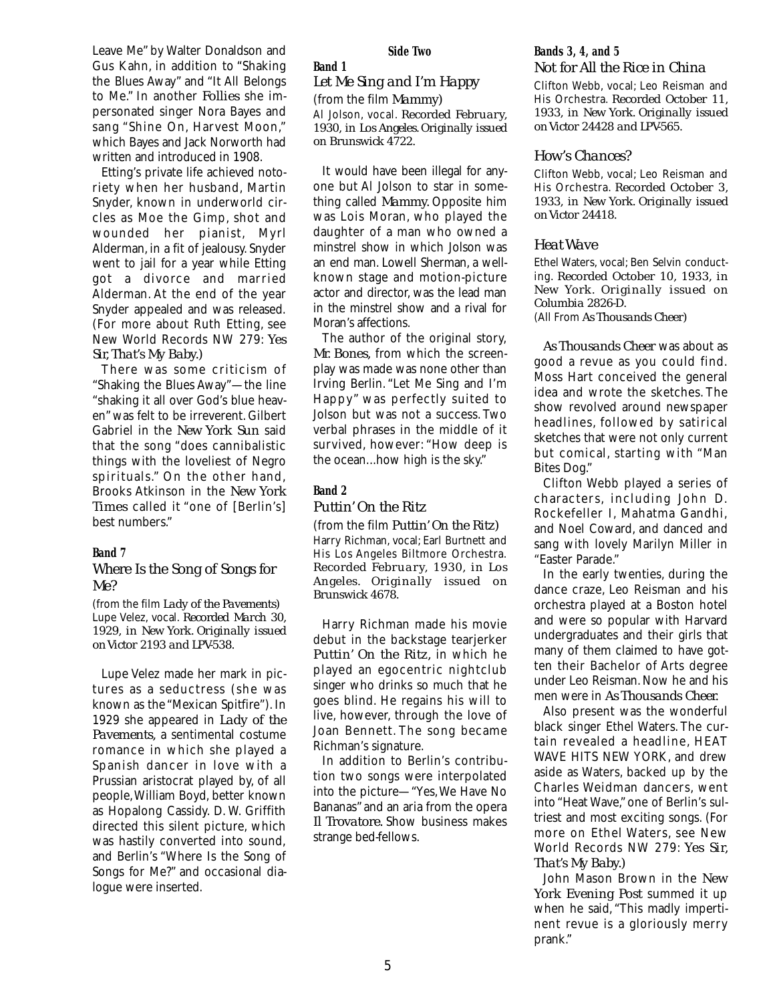Leave Me" by Walter Donaldson and Gus Kahn, in addition to "Shaking the Blues Away" and "It All Belongs to Me." In another *Follies* she impersonated singer Nora Bayes and sang "Shine On, Harvest Moon," which Bayes and Jack Norworth had written and introduced in 1908.

Etting's private life achieved notoriety when her husband, Martin Snyder, known in underworld circles as Moe the Gimp, shot and wounded her pianist, Myrl Alderman, in a fit of jealousy. Snyder went to jail for a year while Etting got a divorce and married Alderman. At the end of the year Snyder appealed and was released. (For more about Ruth Etting, see New World Records NW 279: *Yes Sir, That's My Baby.)*

There was some criticism of "Shaking the Blues Away"—the line "shaking it all over God's blue heaven" was felt to be irreverent. Gilbert Gabriel in the *New York Sun* said that the song "does cannibalistic things with the loveliest of Negro spirituals." On the other hand, Brooks Atkinson in the *New York Times* called it "one of [Berlin's] best numbers."

#### **Band 7**

### *Where Is the Song of Songs for Me?*

(from the film *Lady of the Pavements)* Lupe Velez, vocal. *Recorded March 30, 1929, in New York. Originally issued on Victor 2193 and LPV-538.*

Lupe Velez made her mark in pictures as a seductress (she was known as the "Mexican Spitfire"). In 1929 she appeared in *Lady of the Pavements,* a sentimental costume romance in which she played a Spanish dancer in love with a Prussian aristocrat played by, of all people,William Boyd, better known as Hopalong Cassidy. D. W. Griffith directed this silent picture, which was hastily converted into sound, and Berlin's "Where Is the Song of Songs for Me?" and occasional dialogue were inserted.

#### **Side Two**

#### **Band 1** *Let Me Sing and I'm Happy*

(from the film *Mammy)*

Al Jolson, vocal. *Recorded February, 1930, in Los Angeles. Originally issued on Brunswick 4722.*

It would have been illegal for anyone but Al Jolson to star in something called *Mammy.* Opposite him was Lois Moran, who played the daughter of a man who owned a minstrel show in which Jolson was an end man. Lowell Sherman, a wellknown stage and motion-picture actor and director, was the lead man in the minstrel show and a rival for Moran's affections.

The author of the original story, *Mr. Bones,* from which the screenplay was made was none other than Irving Berlin. "Let Me Sing and I'm Happy" was perfectly suited to Jolson but was not a success. Two verbal phrases in the middle of it survived, however: "How deep is the ocean...how high is the sky."

#### **Band 2**

#### *Puttin' On the Ritz*

(from the film *Puttin' On the Ritz)* Harry Richman, vocal; Earl Burtnett and His Los Angeles Biltmore Orchestra. *Recorded February, 1930, in Los Angeles. Originally issued on Brunswick 4678.*

Harry Richman made his movie debut in the backstage tearjerker *Puttin' On the Ritz,* in which he played an egocentric nightclub singer who drinks so much that he goes blind. He regains his will to live, however, through the love of Joan Bennett. The song became Richman's signature.

In addition to Berlin's contribution two songs were interpolated into the picture—"Yes,We Have No Bananas" and an aria from the opera *Il Trovatore.* Show business makes strange bed-fellows.

#### **Bands 3, 4, and 5** *Not for All the Rice in China*

Clifton Webb, vocal; Leo Reisman and His Orchestra. *Recorded October 11, 1933, in New York. Originally issued on Victor 24428 and LPV-565.*

#### *How's Chances?*

Clifton Webb, vocal; Leo Reisman and His Orchestra. *Recorded October 3, 1933, in New York. Originally issued on Victor 24418.*

#### *Heat Wave*

Ethel Waters, vocal; Ben Selvin conducting. *Recorded October 10, 1933, in New York. Originally issued on Columbia 2826-D.* (All From *As Thousands Cheer)*

*As Thousands Cheer* was about as good a revue as you could find. Moss Hart conceived the general idea and wrote the sketches. The show revolved around newspaper headlines, followed by satirical sketches that were not only current but comical, starting with "Man Bites Dog."

Clifton Webb played a series of characters, including John D. Rockefeller I, Mahatma Gandhi, and Noel Coward, and danced and sang with lovely Marilyn Miller in "Easter Parade."

In the early twenties, during the dance craze, Leo Reisman and his orchestra played at a Boston hotel and were so popular with Harvard undergraduates and their girls that many of them claimed to have gotten their Bachelor of Arts degree under Leo Reisman. Now he and his men were in *As Thousands Cheer.*

Also present was the wonderful black singer Ethel Waters. The curtain revealed a headline, HEAT WAVE HITS NEW YORK, and drew aside as Waters, backed up by the Charles Weidman dancers, went into "Heat Wave," one of Berlin's sultriest and most exciting songs. (For more on Ethel Waters, see New World Records NW 279: *Yes Sir, That's My Baby.)*

John Mason Brown in the *New York Evening Post* summed it up when he said, "This madly impertinent revue is a gloriously merry prank."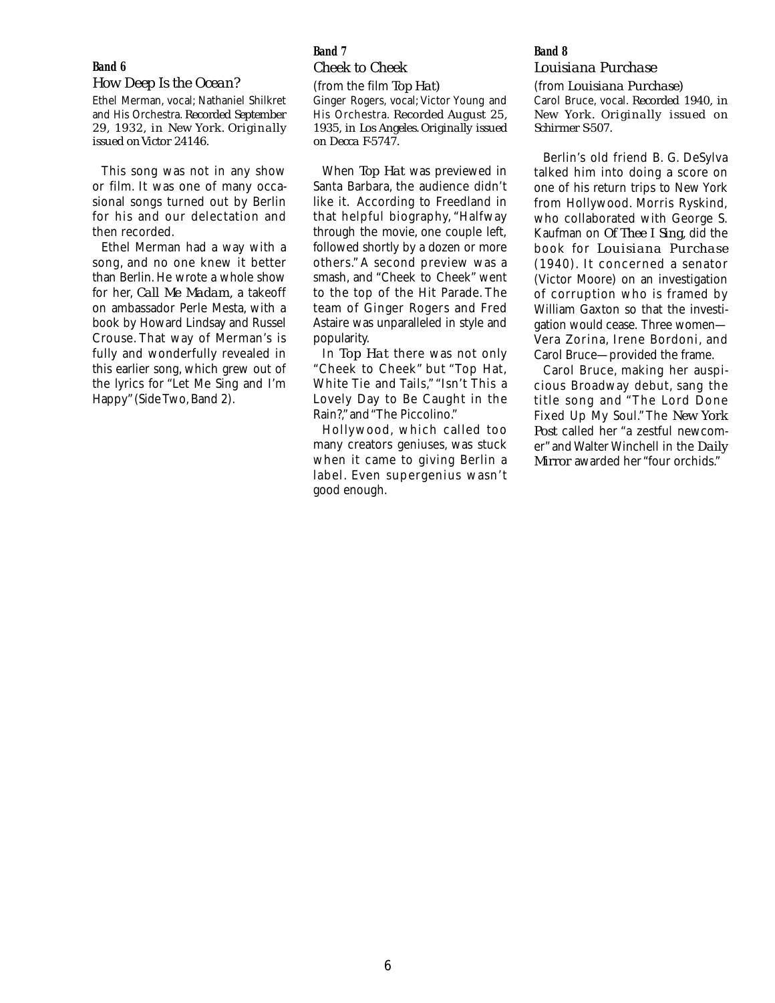#### **Band 6**

#### *How Deep Is the Ocean?*

Ethel Merman, vocal; Nathaniel Shilkret and His Orchestra. *Recorded September 29, 1932, in New York. Originally issued on Victor 24146.*

This song was not in any show or film. It was one of many occasional songs turned out by Berlin for his and our delectation and then recorded.

Ethel Merman had a way with a song, and no one knew it better than Berlin. He wrote a whole show for her, *Call Me Madam,* a takeoff on ambassador Perle Mesta, with a book by Howard Lindsay and Russel Crouse. That way of Merman's is fully and wonderfully revealed in this earlier song, which grew out of the lyrics for "Let Me Sing and I'm Happy" (Side Two, Band 2).

## **Band 7**

*Cheek to Cheek* (from the film *Top Hat)* Ginger Rogers, vocal; Victor Young and His Orchestra. *Recorded August 25, 1935, in Los Angeles. Originally issued on Decca F-5747.*

When *Top Hat* was previewed in Santa Barbara, the audience didn't like it. According to Freedland in that helpful biography, "Halfway through the movie, one couple left, followed shortly by a dozen or more others." A second preview was a smash, and "Cheek to Cheek" went to the top of the Hit Parade. The team of Ginger Rogers and Fred Astaire was unparalleled in style and popularity.

In *Top Hat* there was not only "Cheek to Cheek" but "Top Hat, White Tie and Tails," "Isn't This a Lovely Day to Be Caught in the Rain?," and "The Piccolino."

Hollywood, which called too many creators geniuses, was stuck when it came to giving Berlin a label. Even supergenius wasn't good enough.

#### **Band 8**

## *Louisiana Purchase*

(from *Louisiana Purchase)* Carol Bruce, vocal. *Recorded 1940, in New York. Originally issued on Schirmer S-507.*

Berlin's old friend B. G. DeSylva talked him into doing a score on one of his return trips to New York from Hollywood. Morris Ryskind, who collaborated with George S. Kaufman on *Of Thee I Sing,* did the book for *Louisiana Purchase* (1940). It concerned a senator (Victor Moore) on an investigation of corruption who is framed by William Gaxton so that the investigation would cease. Three women— Vera Zorina, Irene Bordoni, and Carol Bruce—provided the frame.

Carol Bruce, making her auspicious Broadway debut, sang the title song and "The Lord Done Fixed Up My Soul." The *New York Post* called her "a zestful newcomer" and Walter Winchell in the *Daily Mirror* awarded her "four orchids."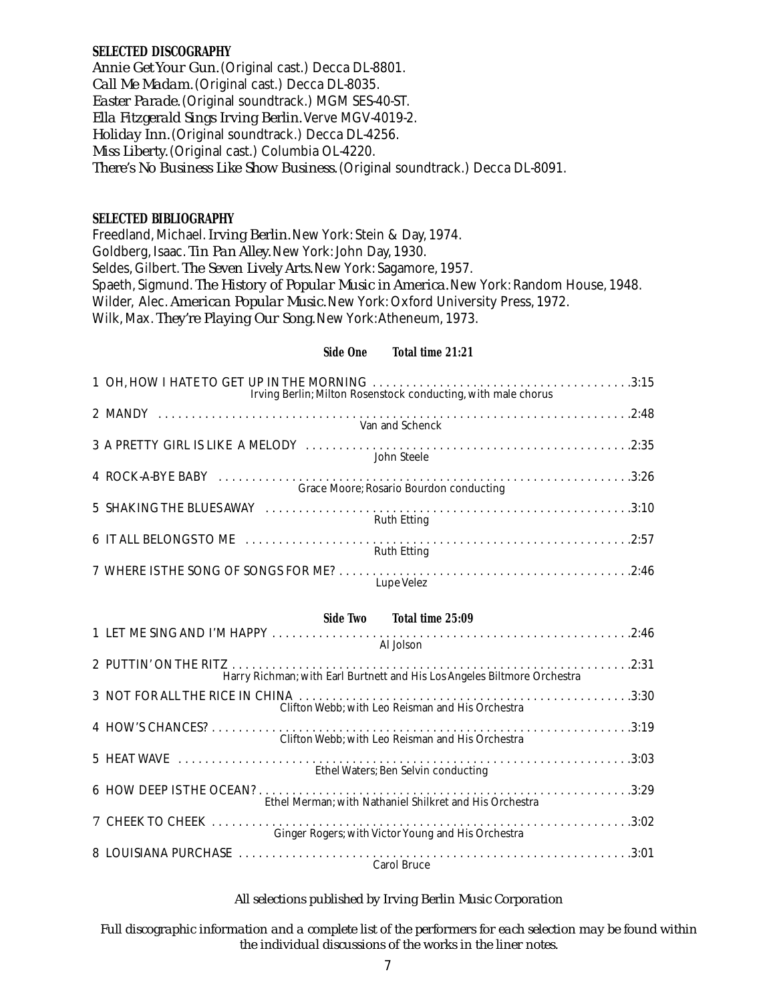## **SELECTED DISCOGRAPHY**

*Annie Get Your Gun.*(Original cast.) Decca DL-8801. *Call Me Madam.*(Original cast.) Decca DL-8035. *Easter Parade.*(Original soundtrack.) MGM SES-40-ST. *Ella Fitzgerald Sings Irving Berlin.*Verve MGV-4019-2. *Holiday Inn.*(Original soundtrack.) Decca DL-4256. *Miss Liberty.*(Original cast.) Columbia OL-4220. *There's No Business Like Show Business.*(Original soundtrack.) Decca DL-8091.

## **SELECTED BIBLIOGRAPHY**

Freedland, Michael.*Irving Berlin.*New York: Stein & Day, 1974. Goldberg, Isaac. *Tin Pan Alley.* New York: John Day, 1930. Seldes, Gilbert. *The Seven Lively Arts.*New York: Sagamore, 1957. Spaeth, Sigmund. *The History of Popular Music in America*. New York: Random House, 1948. Wilder, Alec.*American Popular Music.*New York:Oxford University Press, 1972. Wilk, Max. *They're Playing Our Song.*New York:Atheneum, 1973.

## **Side One Total time 21:21**

| Irving Berlin; Milton Rosenstock conducting, with male chorus |
|---------------------------------------------------------------|
| Van and Schenck                                               |
| John Steele                                                   |
| Grace Moore; Rosario Bourdon conducting                       |
| <b>Ruth Etting</b>                                            |
| <b>Ruth Etting</b>                                            |
| <b>Lupe Velez</b>                                             |

| Side Two Total time 25:09                                                |
|--------------------------------------------------------------------------|
|                                                                          |
| Al Jolson                                                                |
| Harry Richman; with Earl Burtnett and His Los Angeles Biltmore Orchestra |
| Clifton Webb; with Leo Reisman and His Orchestra                         |
| Clifton Webb; with Leo Reisman and His Orchestra                         |
| Ethel Waters; Ben Selvin conducting                                      |
| Ethel Merman; with Nathaniel Shilkret and His Orchestra                  |
| Ginger Rogers; with Victor Young and His Orchestra                       |
| <b>Carol Bruce</b>                                                       |

## *All selections published by Irving Berlin Music Corporation*

*Full discographic information and a complete list of the performers for each selection may be found within the individual discussions of the works in the liner notes.*